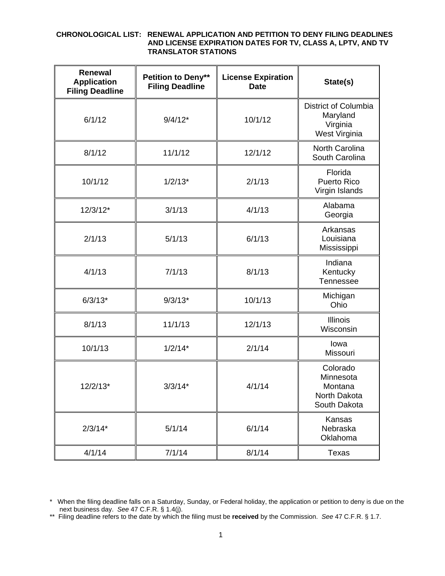## **CHRONOLOGICAL LIST: RENEWAL APPLICATION AND PETITION TO DENY FILING DEADLINES AND LICENSE EXPIRATION DATES FOR TV, CLASS A, LPTV, AND TV TRANSLATOR STATIONS**

| <b>Renewal</b><br><b>Application</b><br><b>Filing Deadline</b> | Petition to Deny**<br><b>Filing Deadline</b> | <b>License Expiration</b><br><b>Date</b> | State(s)                                                         |
|----------------------------------------------------------------|----------------------------------------------|------------------------------------------|------------------------------------------------------------------|
| 6/1/12                                                         | $9/4/12*$                                    | 10/1/12                                  | District of Columbia<br>Maryland<br>Virginia<br>West Virginia    |
| 8/1/12                                                         | 11/1/12                                      | 12/1/12                                  | North Carolina<br>South Carolina                                 |
| 10/1/12                                                        | $1/2/13*$                                    | 2/1/13                                   | Florida<br><b>Puerto Rico</b><br>Virgin Islands                  |
| $12/3/12*$                                                     | 3/1/13                                       | 4/1/13                                   | Alabama<br>Georgia                                               |
| 2/1/13                                                         | 5/1/13                                       | 6/1/13                                   | Arkansas<br>Louisiana<br>Mississippi                             |
| 4/1/13                                                         | 7/1/13                                       | 8/1/13                                   | Indiana<br>Kentucky<br>Tennessee                                 |
| $6/3/13*$                                                      | $9/3/13*$                                    | 10/1/13                                  | Michigan<br>Ohio                                                 |
| 8/1/13                                                         | 11/1/13                                      | 12/1/13                                  | <b>Illinois</b><br>Wisconsin                                     |
| 10/1/13                                                        | $1/2/14*$                                    | 2/1/14                                   | lowa<br>Missouri                                                 |
| $12/2/13*$                                                     | $3/3/14*$                                    | 4/1/14                                   | Colorado<br>Minnesota<br>Montana<br>North Dakota<br>South Dakota |
| $2/3/14*$                                                      | 5/1/14                                       | 6/1/14                                   | Kansas<br>Nebraska<br>Oklahoma                                   |
| 4/1/14                                                         | 7/1/14                                       | 8/1/14                                   | Texas                                                            |

<sup>\*</sup> When the filing deadline falls on a Saturday, Sunday, or Federal holiday, the application or petition to deny is due on the next business day. *See* 47 C.F.R. § 1.4(j).

<sup>\*\*</sup> Filing deadline refers to the date by which the filing must be **received** by the Commission. *See* 47 C.F.R. § 1.7.